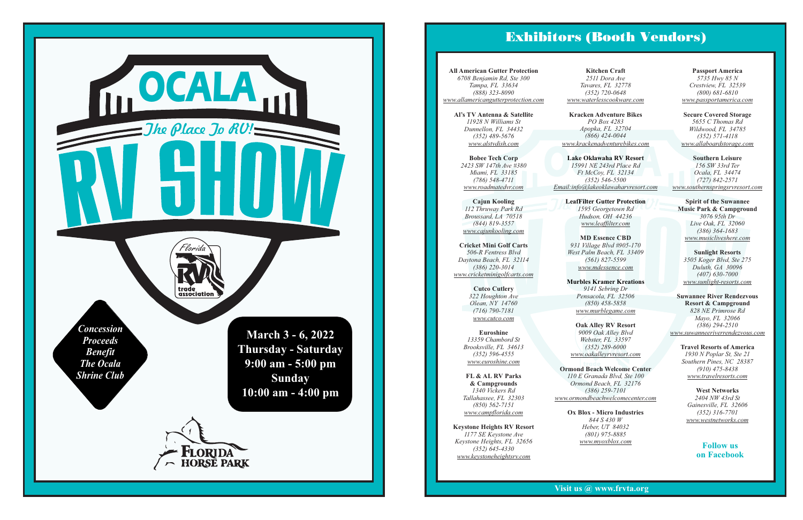trade

<u>r</u>

(800) 330-7882



Like us on Facebook Visit us @ www.frvta.org

**Suwannee River Rendezvous**  *(386) 294-2510 828 NE Primrose Rd Mayo, FL 32066* **Resort & Campground** *www.suwanneeriverrendezvous.com*

> *Gainesville, FL 32606 (352) 316-7701 www.westnetworks.com 2404 NW 43rd St* **West Networks**

**Travel Resorts of America** *1930 N Poplar St, Ste 21 (910) 475-8438 www.travelresorts.com Southern Pines, NC 28387*

**Lake Oklawaha RV Resort**<br>
15991 NE 243rd Place Rd<br>
Ft McCoy, FL 32134<br>
(352) 546-5500 *15991 NE 243rd Place Rd Email:info@lakeoklawaharvresort.com Ft McCoy, FL 32134 (352) 546-5500*

**LeafFilter Gutter Protection**<br>
1595 Georgetown Rd *Hudson, OH 44236 1595 Georgetown Rd www.leaffilter.com*

*www.euroshine.com (352) 596-4555* **Euroshine** *Brooksville, FL 34613 13359 Chambord St*

*(352) 720-0648 www.waterlesscookware.com* **Kitchen Craft** *Tavares, FL 32778 2511 Dora Ave*

*1177 SE Keystone Ave (352) 645-4330 Keystone Heights, FL 32656* **Keystone Heights RV Resort** *www.keystoneheightsrv.com*

**Oak Alley RV Resort** Webster, FL<br>(352) 289-<br><u>v.oakalleyrv</u> *9009 Oak Alley Blvd Webster, FL 33597 (352) 289-6000 www.oakalleyrvresort.com*

**Kracken Adventure Bikes** *www.krackenadventurebikes.com PO Box 4283 Apopka, FL 32704 (866) 424-0044*

*Tallahassee, FL 32303 (850) 562-7151* **& Campgrounds FL & AL RV Parks**  *www.campflorida.com 1340 Vickers Rd*

**Ormond Beach Welcome Center** *110 E Granada Blvd, Ste 100 Ormond Beach, FL 32176 www.ormondbeachwelcomecenter.com (386) 259-7101*

*(407) 630-7000 www.sunlight-resorts.com* **Sunlight Resorts** *3505 Koger Blvd, Ste 275 Duluth, GA 30096*

**MD Essence CBD** *West Palm Beach, FL 33409 www.mdessence.com 931 Village Blvd #905-170 (561) 827-5599*

**Murbles Kramer Kreations** *Pensacola, FL 32506 (850) 458-5858 www.murblegame.com 9141 Sebring Dr*

*www.cutco.com* **Cutco Cutlery** *Olean, NY 14760 322 Houghton Ave (716) 790-7181*

*www.passportamerica.com* **Passport America** *Crestview, FL 32539 5735 Hwy 85 N (800) 681-6810*

*5655 C Thomas Rd Wildwood, FL 34785 www.allaboardstorage.com (352) 571-4118* **Secure Covered Storage**

*Heber, UT 84032 www.myoxblox.com 844 S 430 W* **Ox Blox - Micro Industries** *(801) 975-8885*

*3076 95th Dr* **Spirit of the Suwannee Music Park & Campground** *Live Oak, FL 32060 (386) 364-1683 www.musicliveshere.com*

*Ocala, FL 34474 156 SW 33rd Ter (727) 842-2571* **Southern Leisure** *www.southernspringsrvresort.com*

**All American Gutter Protection** *6708 Benjamin Rd, Ste 300 Tampa, FL 33634 (888) 323-8090 www.allamericangutterprotection.com*

> **Cajun Kooling** *(844) 819-3557 112 Thruway Park Rd www.cajunkooling.com Broussard, LA 70518*

**Al's TV Antenna & Satellite** *www.alstvdish.com 11928 N Williams St Dunnellon, FL 34432 (352) 489-5676*

*www.roadmatedvr.com Miami, FL 33185 (786) 548-4711* **Bobee Tech Corp** *2423 SW 147th Ave #380*

*506-R Fentress Blvd Daytona Beach, FL 32114 (386) 220-3014* **Cricket Mini Golf Carts** *www.cricketminigolfcarts.com*

## **Follow us on Facebook**

## Exhibitors (Booth Vendors)